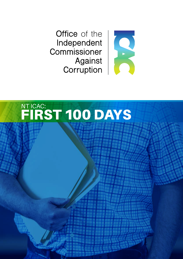Office of the Independent Commissioner Against Corruption



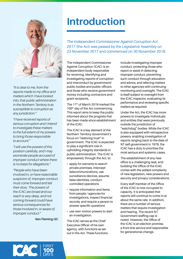

*"It is clear to me, from the reports made to my office and matters which I have looked into, that public administration in the Northern Territory is as susceptible to corruption as any jurisdiction."*

*"I have received reports of serious corruption and I intend to investigate these matters to the full extent of my powers to bring those responsible to account."*

*"I will use the powers of this position carefully, and I may exonerate people accused of improper conduct where there is no basis for allegations."*

*"People who have been involved in, or have reasonable suspicion of, improper conduct must come forward and tell their story. The powers of the ICAC are broad and our reach is very deep, and not coming forward could have serious consequences for those involved in, or aware of, improper conduct."* 

**Ken Fleming QC**

# **Introduction**

*The Independent Commissioner Against Corruption Act 2017* (the Act) was passed by the Legislative Assembly on 23 November 2017 and commenced on 30 November 2018.

The Independent Commissioner Against Corruption (ICAC) is an independent body responsible for receiving, identifying and investigating reports of corruption and misconduct by government/ public bodies and public officers and those who receive government money including contractors and grant recipients.

The 11<sup>th</sup> of March 2019 marked the 100<sup>th</sup> day of the Act commencing. This report aims to keep the public informed about the progress that has been made since establishment of the ICAC.

The ICAC is a key element of the Northern Territory Government's focus on "restoring trust" in government. The ICAC is expected to play a significant role in upholding integrity standards in public administration. The ICAC is empowered, through the Act, to:

- apply for warrants to search private premises, intercept telecommunications, use surveillance devices, assume false identities, conduct controlled operations
- require information and items from people / agencies for investigations, inspect financial records, and require a person to answer specific questions
- use own motion powers to start an investigation.

The ICAC serves as the Chief Executive Officer of his own agency, with functions as set out in the Act. These functions include investigating improper conduct, protecting those who report or assist in detecting improper conduct, preventing such conduct through education and advice, and referring matters to other agencies with continuing monitoring and oversight. The ICAC is itself subject to oversight from the ICAC Inspector, evaluating its performance and reviewing specific matters as required.

Under the Act, the ICAC has more powers to investigate individuals and entities that were previously outside the jurisdiction of "watchdog" bodies. While the ICAC is also equipped with retrospective powers, enabling investigation of reports ranging back to the date of NT self-government in 1978, the ICAC has a duty to prioritise the most serious and systemic cases.

The establishment of any new office is a challenging task, and building the Office of the ICAC comes with the added complexity of new legislation, new powers and security and privacy considerations.

Every staff member of the Office of the ICAC is now occupied to capacity. It is anticipated that reports will continue to come in at about the same rate. In addition, there are a number of serious matters that require investigation and hearing. The recent NT Government staffing cap is noted. However, the Office of the ICAC is an election promise, a front-line service and responsible for generational change.

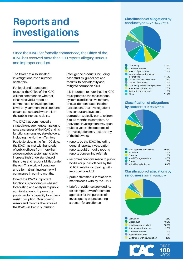# **Reports and investigations**

Since the ICAC Act formally commenced, the Office of the ICAC has received more than 100 reports alleging serious and improper conduct.

The ICAC has also initiated investigations into a number of matters.

For legal and operational reasons, the Office of the ICAC will not comment on whether it has received a report or commenced an investigation. It will only comment in exceptional circumstances, and when it is in the public interest to do so.

The ICAC has commenced a strategic engagement campaign to raise awareness of the ICAC and its functions among key stakeholders, including the Northern Territory Public Service. In the first 100 days, the ICAC has met with hundreds of public officers from more than a dozen public sector agencies to increase their understanding of their roles and responsibilities under the Act. This work will continue and a formal training regime will commence in coming months.

One of the ICAC's important functions is providing risk-based forecasting and analysis to public administration to improve the public sector's capacity to actively resist corruption. Over coming weeks and months, the Office of the ICAC will begin publishing

intelligence products including case studies, guidelines and toolkits, to help identify and mitigate corruption risks.

It is important to note that the ICAC must prioritise the most serious, systemic and sensitive matters, and, as demonstrated in other jurisdictions, that investigations into serious and systemic corruption typically can take from 6 to 18 months to complete. An individual investigation may span multiple years. The outcome of an investigation may include any of the following:

- reports by the ICAC, including general reports, investigation reports, public inquiry reports, reports concerning referrals
- recommendations made to public bodies or public officers by the ICAC in relation to dealing with improper conduct
- public statements in relation to matters dealt with by the ICAC
- briefs of evidence provided to, for example, law enforcement agencies for the purpose of investigating or prosecuting a person for an offence.

#### **Classification of allegations by conduct type** (as at 11 March 2019)



| Conflict of interest             | 7.5%  |
|----------------------------------|-------|
| Breach of public trust           | 7.5%  |
| Inappropriate performance        |       |
| of functions                     | 11.7% |
| Misuse of official information   | 7.5%  |
| Misuse of resources              | 11.7% |
| Dishonesty related to employment | 5%    |
| Anti-democratic conduct          | 2.5%  |
| Retribution and reprisal         | 1.6%  |
| Other                            | 11.7% |

#### **Classification of allegations by sector** (as at 11 March 2019)



Not within jurisdiction 8.4%

#### **Classification of allegations by seriousness** (as at 11 March 2019)



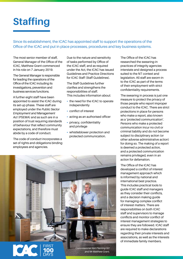# **Staffing**

Since its establishment, the ICAC has appointed staff to support the operations of the Office of the ICAC and put in place processes, procedures and key business systems.

The most senior member of staff, General Manager of the Office of the ICAC, Matthew Grant commenced in his role on 7 January 2019.

The General Manager is responsible for leading the operations of the Office of the ICAC including its investigations, prevention and business services functions.

A further eight staff have been appointed to assist the ICAC during its set-up phase. These staff are employed under the *Public Sector Employment and Management Act* (PSEMA) and as such are in a position of trust requiring standards of behaviour that reflect community expectations, and therefore must abide by a code of conduct.

The code of conduct incorporates a set of rights and obligations binding employees and agencies.

Due to the nature and sensitivity of tasks performed by Office of the ICAC staff, and as required under the Act, the ICAC has issued Guidelines and Practice Directions for ICAC Staff (Staff Guidelines).

The Staff Guidelines further clarifies and strengthens the responsibilities of staff. This includes information about:

- the need for the ICAC to operate independently
- conflict of interest
- acting as an authorised officer
- privacy, confidentiality and privilege
- whistleblower protection and protected communication.



The Office of the ICAC has researched the swearing-in practices of integrity agencies interstate and designed a process suited to the NT context and legislation. All staff are sworn-in to the ICAC as part of the terms of their employment with strict confidentiality requirements.

The swearing in process is just one measure to protect the privacy of those people who report improper conduct to the ICAC. There are strict protections in place for persons who make a report, also known as a 'protected communication'. Persons who make a protected communication incur no civil or criminal liability and do not become subject to disciplinary action (or other adverse administrative action) for doing so. The making of a report is deemed a protected action, and a protected communication remains privileged, even in an action for defamation.

The Office of the ICAC has developed a conflict of interest management approach which is informed by national and international best practice. This includes practical tools to guide ICAC staff and managers as they consider their conflicts, and a decision making guide for managing complex conflict of interest matters. There are responsibilities on both ICAC staff and supervisors to manage conflicts and monitor conflict of interest management strategies to ensure they are followed. ICAC staff are required to make declarations regarding their private interests and associations, as well as the interests of immediate family members.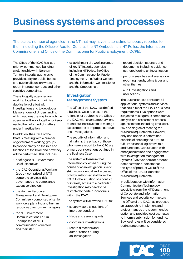# **Business systems and processes**

There are a number of agencies in the NT that may have matters simultaneously reported to them including the Office of Auditor-General, the NT Ombudsman, NT Police, the Information Commissioner and Office of the Commissioner for Public Employment (OCPE).

The Office of the ICAC has, as a priority, commenced building a relationship with Northern Territory integrity agencies to provide clarity for public bodies and public officers on where to report improper conduct and other sensitive complaints.

These integrity agencies are working together to minimise duplication of effort with investigations and to develop a Memorandum of Understanding which outlines the way in which the agencies will work together or keep each other informed of matters under investigation.

In addition, the Office of the ICAC is meeting with a number of government working groups to provide clarity on the role and functions of the ICAC and how they will be performed. This includes:

- briefings to NT Government Chief Executives
- the ICAC Operational Working Group – comprised of NTG corporate services, risk, governance and compliance executive directors
- the Human Resource Management and Development Committee – comprised of senior workforce planning and human resources directors an managers
- the NT Government Communications Forum – comprised of NTG communications directors and their staff

• establishment of a working group of key NT integrity agencies including NT Police, the Office of the Commissioner for Public Employment, the Auditor-General and the Information Commissioner, and the Ombudsman.

### **Investigation Management System**

The Office of the ICAC has drafted a Business Case to present the rationale for equipping the Office of the ICAC with a contemporary, endto-end business system to manage cases (reports of improper conduct) and investigations.

The security of information and maintaining the privacy of those who make a report to the ICAC are primary considerations outlined in the Business Case.

The system will ensure that information collected during the course of an investigation is kept strictly confidential and accessed only by authorised staff from the ICAC. In the situation of a conflict of interest, access to a particular investigation may need to be restricted to certain individuals within the ICAC.

The system will allow the ICAC to:

- securely store allegations of improper conduct
- triage and assess reports
- coordinate investigations
- record directions and authorisations during an investigation
- record decision rationale and documents, including evidence gathered during an investigation
- perform searches and analysis on reporting trends, crime types and other themes
- audit investigations and user actions.

The Business Case considers all applications, systems and services that could meet the ICAC's business requirements. Five options were subjected to a rigorous comparative analysis and assessment process against factors including time, cost, risk and degree of meeting the business requirements. However, only one option is determined capable of enabling the ICAC to fulfil its essential legislative role and functions. Consultation with other jurisdictions and engagement with Investigation Management Systems (IMS) vendors for product demonstrations indicate that this type of product will fulfil the Office of the ICAC's identified business requirements.

In collaboration with Information Communication Technology specialists from the NT Department of Corporate and Information Services and security contractors, the Office of the ICAC has proposed an approach to implement and project manage the recommended option and provided cost estimates to inform a submission for funding. Buy local rules will be considered during procurement.

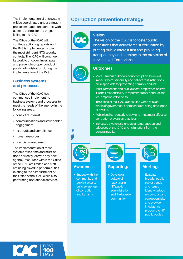The implementation of this system will be coordinated under stringent project management controls, with ultimate control for the project falling to the ICAC.

The Office of the ICAC will continue actioning reports until the IMS is implemented under the most stringent NTG security controls. The ICAC will continue its work to uncover, investigate and prevent improper conduct in public administration during the implementation of the IMS.

#### **Business systems and processes**

The Office of the ICAC has commenced implementing business systems and processes to meet the needs of the agency in the following areas:

- conflict of interest
- communications and stakeholder engagement
- risk, audit and compliance
- human resources
- financial management.

The implementation of these systems takes time and must be done correctly. As with any new agency, resources within the Office of the ICAC are limited and staff are being asked to perform duties relating to the establishment of the Office of the ICAC while also performing operational activities.

# **Corruption prevention strategy**



#### **Vision**

The vision of the ICAC is to foster public institutions that actively resist corruption by putting public interest first and providing transparency and certainty in the provision of service to all Territorians.



### **Outcomes**

- More Territorians know about corruption, believe it impacts them personally and believe that institutions are responsible for preventing corrupt conduct.
- Most Territorians and public sector employees believe it is their responsibility to report improper conduct and feel empowered to do so.
- The Office of the ICAC is consulted when relevant whole of government approaches are being developed or revised.
- Public bodies regularly review and implement effective corruption prevention practices.
- Increased awareness, understanding, support and advocacy of the ICAC and its functions from the general public.



**Pillars**

#### **Awareness:**

• Engage with the community and public sector to build awareness of corruption and its harms.

### **Reporting:**

• Develop a culture of reporting in NT public administration and the broader community.



### **Alerting:**

• Evaluate broader public sector trends and issues, identify serious misconduct and corruption risks and provide intelligence products to NT public bodies.

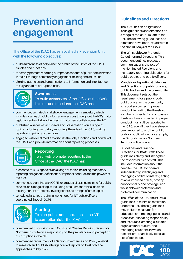# **Prevention and engagement**

The Office of the ICAC has established a Prevention Unit with the following objectives:

- build **awareness** of help raise the profile of the Office of the ICAC, its roles and functions
- to actively promote **reporting** of improper conduct of public administration in the NT through community engagement, training and education
- **alerting** agencies and organisations to information and intelligence to stay ahead of corruption risks.



#### **Awareness**

To build awareness of the Office of the ICAC, its roles and functions, the ICAC has:

- commenced a strategic stakeholder engagement campaign, which includes a series of public information sessions throughout the NT's major regional centres, to be advertised in major news outlets across the NT
- published a series of fact sheets and presentations on a range of topics including mandatory reporting, the role of the ICAC, making reports and privacy protections
- engaged with local media to discuss the role, functions and powers of the ICAC, and provide information about reporting processes.



#### **Reporting**

To actively promote reporting to the Office of the ICAC, the ICAC has:

- presented to NTG agencies on a range of topics including mandatory reporting obligations, definitions of improper conduct and the powers of the ICAC
- commenced planning with OCPE for an audit of existing training for public servants on a range of topics including procurement, ethical decision making, conflict of interest, investigations and a range of other topics
- scheduled a series of training workshops for NT public officers, coordinated through OCPE.



**Alerting** To alert public administration in the NT to corruption risks, the ICAC has:

- commenced discussions with OCPE and Charles Darwin University's Northern Institute on a major study on the prevalence and perception of corruption in the NT
- commenced recruitment of a Senior Governance and Policy Analyst to research and publish intelligence-led reports on best practice approaches to key risks.

## **Guidelines and Directions**

The ICAC has an obligation to issue guidelines and directions on a range of topics, pursuant to the Act. The following guidelines and directions have been issued within the first 100 days of the ICAC:

**The Whistleblower Protection Guidelines and Directions:** This document outlines protected communications, the role of the Nominated Recipient, and mandatory reporting obligations for public bodies and public officers.

**Mandatory Reporting Guidelines and Directions for public officers, public bodies and the community:**  This document sets out the requirements for a public body, public officer or the community to report suspected improper conduct, including the threshold for what 'suspected' encompasses. It sets out how suspected improper conduct must still be reported to the ICAC, even if they have already been reported to another public body or public officer (for example, the Ombudsman or Northern Territory Police Force).

**Guidelines and Practice Directions for ICAC Staff:** These guidelines clarify and strengthen the responsibilities of staff. This includes information about the need for the ICAC to operate independently, identifying and managing conflict of interest, acting as an authorised officer, privacy, confidentiality and privilege, and whistleblower protection and protected communication.

The Office of the ICAC must issue guidelines to minimise retaliation under the Act. These guidelines may include measures for education and training, policies and processes, allocating responsibility and resources, creating a suitable organisational culture, and managing situations in which persons are, or are likely to be, at risk of retaliation.